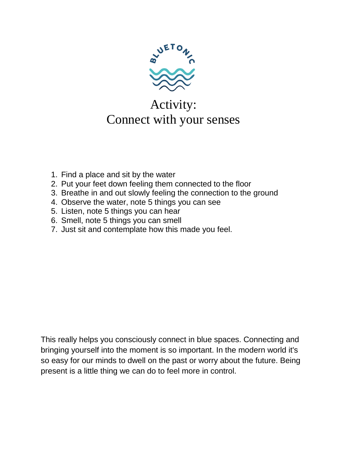

## Activity: Connect with your senses

- 1. Find a place and sit by the water
- 2. Put your feet down feeling them connected to the floor
- 3. Breathe in and out slowly feeling the connection to the ground
- 4. Observe the water, note 5 things you can see
- 5. Listen, note 5 things you can hear
- 6. Smell, note 5 things you can smell
- 7. Just sit and contemplate how this made you feel.

This really helps you consciously connect in blue spaces. Connecting and bringing yourself into the moment is so important. In the modern world it's so easy for our minds to dwell on the past or worry about the future. Being present is a little thing we can do to feel more in control.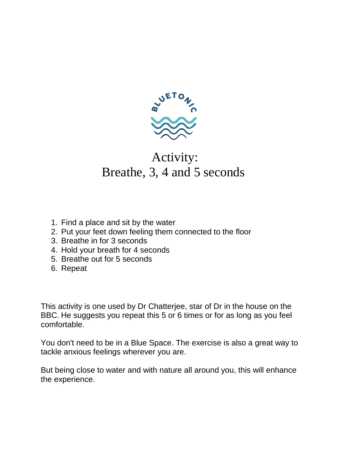

#### Activity: Breathe, 3, 4 and 5 seconds

- 1. Find a place and sit by the water
- 2. Put your feet down feeling them connected to the floor
- 3. Breathe in for 3 seconds
- 4. Hold your breath for 4 seconds
- 5. Breathe out for 5 seconds
- 6. Repeat

This activity is one used by Dr Chatterjee, star of Dr in the house on the BBC. He suggests you repeat this 5 or 6 times or for as long as you feel comfortable.

You don't need to be in a Blue Space. The exercise is also a great way to tackle anxious feelings wherever you are.

But being close to water and with nature all around you, this will enhance the experience.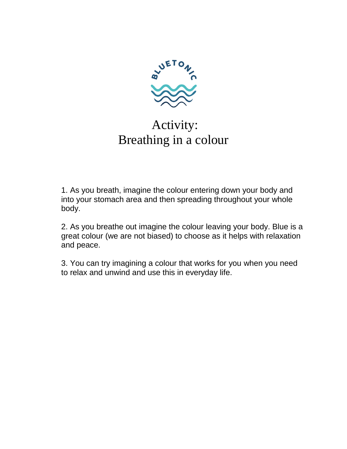

# Activity: Breathing in a colour

1. As you breath, imagine the colour entering down your body and into your stomach area and then spreading throughout your whole body.

2. As you breathe out imagine the colour leaving your body. Blue is a great colour (we are not biased) to choose as it helps with relaxation and peace.

3. You can try imagining a colour that works for you when you need to relax and unwind and use this in everyday life.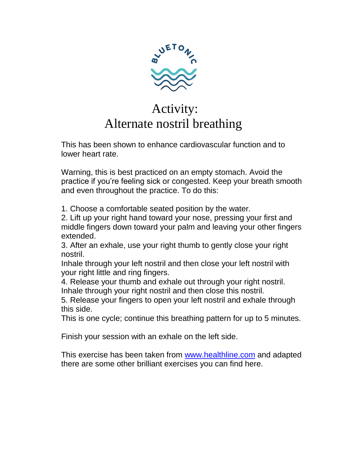

### Activity: Alternate nostril breathing

This has been shown to enhance cardiovascular function and to lower heart rate.

Warning, this is best practiced on an empty stomach. Avoid the practice if you're feeling sick or congested. Keep your breath smooth and even throughout the practice. To do this:

1. Choose a comfortable seated position by the water.

2. Lift up your right hand toward your nose, pressing your first and middle fingers down toward your palm and leaving your other fingers extended.

3. After an exhale, use your right thumb to gently close your right nostril.

Inhale through your left nostril and then close your left nostril with your right little and ring fingers.

4. Release your thumb and exhale out through your right nostril. Inhale through your right nostril and then close this nostril.

5. Release your fingers to open your left nostril and exhale through this side.

This is one cycle; continue this breathing pattern for up to 5 minutes.

Finish your session with an exhale on the left side.

This exercise has been taken from [www.healthline.com](http://www.healthline.com/) and adapted there are some other brilliant exercises you can find here.